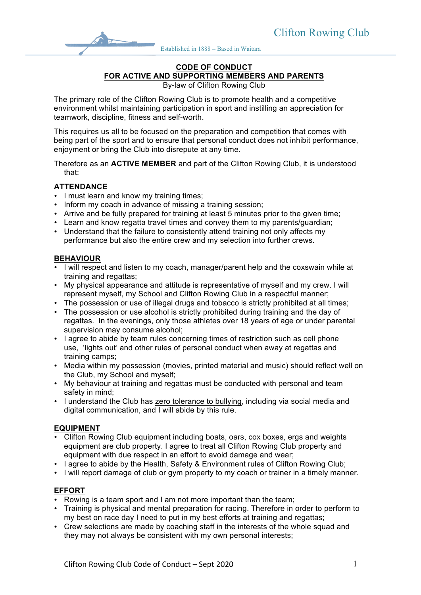Established in 1888 – Based in Waitara

#### **CODE OF CONDUCT FOR ACTIVE AND SUPPORTING MEMBERS AND PARENTS**

By-law of Clifton Rowing Club

The primary role of the Clifton Rowing Club is to promote health and a competitive environment whilst maintaining participation in sport and instilling an appreciation for teamwork, discipline, fitness and self-worth.

This requires us all to be focused on the preparation and competition that comes with being part of the sport and to ensure that personal conduct does not inhibit performance, enjoyment or bring the Club into disrepute at any time.

Therefore as an **ACTIVE MEMBER** and part of the Clifton Rowing Club, it is understood that:

## **ATTENDANCE**

- I must learn and know my training times;
- Inform my coach in advance of missing a training session;
- Arrive and be fully prepared for training at least 5 minutes prior to the given time;
- Learn and know regatta travel times and convey them to my parents/guardian;
- Understand that the failure to consistently attend training not only affects my performance but also the entire crew and my selection into further crews.

### **BEHAVIOUR**

- I will respect and listen to my coach, manager/parent help and the coxswain while at training and regattas;
- My physical appearance and attitude is representative of myself and my crew. I will represent myself, my School and Clifton Rowing Club in a respectful manner;
- The possession or use of illegal drugs and tobacco is strictly prohibited at all times;
- The possession or use alcohol is strictly prohibited during training and the day of regattas. In the evenings, only those athletes over 18 years of age or under parental supervision may consume alcohol;
- I agree to abide by team rules concerning times of restriction such as cell phone use, 'lights out' and other rules of personal conduct when away at regattas and training camps;
- Media within my possession (movies, printed material and music) should reflect well on the Club, my School and myself;
- My behaviour at training and regattas must be conducted with personal and team safety in mind;
- I understand the Club has zero tolerance to bullying, including via social media and digital communication, and I will abide by this rule.

### **EQUIPMENT**

- Clifton Rowing Club equipment including boats, oars, cox boxes, ergs and weights equipment are club property. I agree to treat all Clifton Rowing Club property and equipment with due respect in an effort to avoid damage and wear;
- I agree to abide by the Health, Safety & Environment rules of Clifton Rowing Club;
- I will report damage of club or gym property to my coach or trainer in a timely manner.

### **EFFORT**

- Rowing is a team sport and I am not more important than the team;
- Training is physical and mental preparation for racing. Therefore in order to perform to my best on race day I need to put in my best efforts at training and regattas;
- Crew selections are made by coaching staff in the interests of the whole squad and they may not always be consistent with my own personal interests;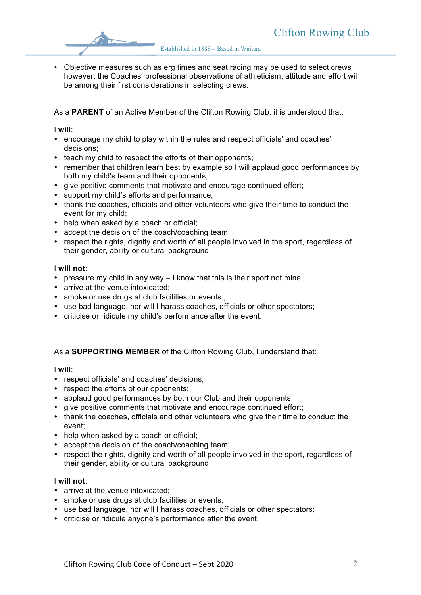Established in 1888 – Based in Waitara

• Objective measures such as erg times and seat racing may be used to select crews however; the Coaches' professional observations of athleticism, attitude and effort will be among their first considerations in selecting crews.

As a **PARENT** of an Active Member of the Clifton Rowing Club, it is understood that:

I **will**:

- encourage my child to play within the rules and respect officials' and coaches' decisions;
- teach my child to respect the efforts of their opponents;
- remember that children learn best by example so I will applaud good performances by both my child's team and their opponents;
- give positive comments that motivate and encourage continued effort;
- support my child's efforts and performance;
- thank the coaches, officials and other volunteers who give their time to conduct the event for my child;
- help when asked by a coach or official;
- accept the decision of the coach/coaching team;
- respect the rights, dignity and worth of all people involved in the sport, regardless of their gender, ability or cultural background.

### I **will not**:

- pressure my child in any way I know that this is their sport not mine;
- arrive at the venue intoxicated;
- smoke or use drugs at club facilities or events ;
- use bad language, nor will I harass coaches, officials or other spectators;
- criticise or ridicule my child's performance after the event.

## As a **SUPPORTING MEMBER** of the Clifton Rowing Club, I understand that:

#### I **will**:

- respect officials' and coaches' decisions;
- respect the efforts of our opponents;
- applaud good performances by both our Club and their opponents;
- give positive comments that motivate and encourage continued effort;
- thank the coaches, officials and other volunteers who give their time to conduct the event;
- help when asked by a coach or official;
- accept the decision of the coach/coaching team;
- respect the rights, dignity and worth of all people involved in the sport, regardless of their gender, ability or cultural background.

#### I **will not**:

- arrive at the venue intoxicated;
- smoke or use drugs at club facilities or events;
- use bad language, nor will I harass coaches, officials or other spectators;
- criticise or ridicule anyone's performance after the event.